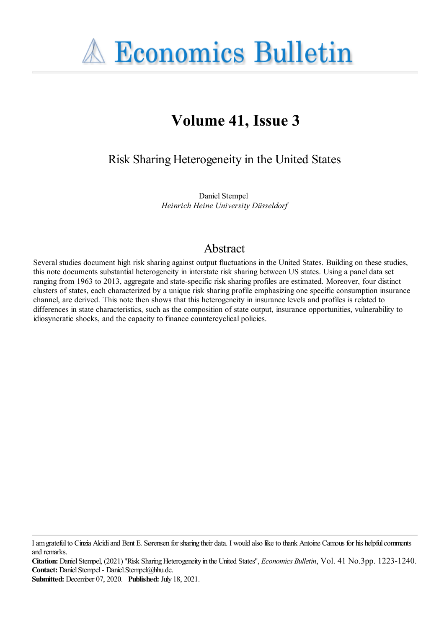

# **Volume 41, Issue 3**

Risk Sharing Heterogeneity in the United States

Daniel Stempel *Heinrich Heine University Düsseldorf*

# Abstract

Several studies document high risk sharing against output fluctuations in the United States. Building on these studies, this note documents substantial heterogeneity in interstate risk sharing between US states. Using a panel data set ranging from 1963 to 2013, aggregate and state-specific risk sharing profiles are estimated. Moreover, four distinct clusters of states, each characterized by a unique risk sharing profile emphasizing one specific consumption insurance channel, are derived. This note then shows that this heterogeneity in insurance levels and profiles is related to differences in state characteristics, such as the composition of state output, insurance opportunities, vulnerability to idiosyncratic shocks, and the capacity to finance countercyclical policies.

Iamgratefulto Cinzia Alcidiand Bent E. Sørensen for sharing their data. I would also liketo thank Antoine Camous for his helpfulcomments and remarks.

Citation: Daniel Stempel, (2021) "Risk Sharing Heterogeneity in the United States", *Economics Bulletin*, Vol. 41 No.3pp. 1223-1240. Contact: Daniel Stempel - Daniel.Stempel@hhu.de.

**Submitted:** December 07, 2020. **Published:** July 18, 2021.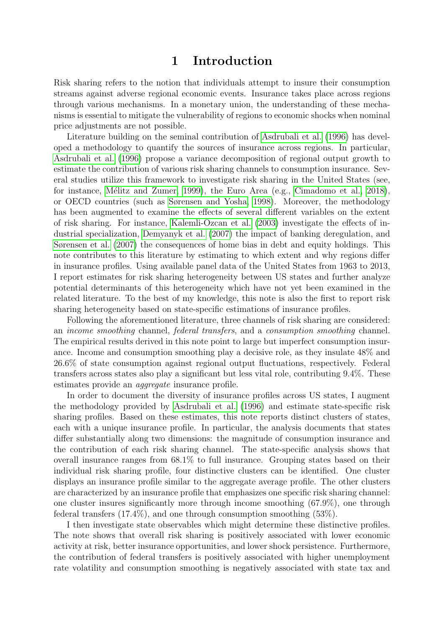### 1 Introduction

Risk sharing refers to the notion that individuals attempt to insure their consumption streams against adverse regional economic events. Insurance takes place across regions through various mechanisms. In a monetary union, the understanding of these mechanisms is essential to mitigate the vulnerability of regions to economic shocks when nominal price adjustments are not possible.

Literature building on the seminal contribution of Asdrubali et al. (1996) has developed a methodology to quantify the sources of insurance across regions. In particular, Asdrubali et al. (1996) propose a variance decomposition of regional output growth to estimate the contribution of various risk sharing channels to consumption insurance. Several studies utilize this framework to investigate risk sharing in the United States (see, for instance, Mélitz and Zumer, 1999), the Euro Area (e.g., Cimadomo et al., 2018), or OECD countries (such as Sørensen and Yosha, 1998). Moreover, the methodology has been augmented to examine the effects of several different variables on the extent of risk sharing. For instance, Kalemli-Ozcan et al. (2003) investigate the effects of industrial specialization, Demyanyk et al. (2007) the impact of banking deregulation, and Sørensen et al. (2007) the consequences of home bias in debt and equity holdings. This note contributes to this literature by estimating to which extent and why regions differ in insurance profiles. Using available panel data of the United States from 1963 to 2013, I report estimates for risk sharing heterogeneity between US states and further analyze potential determinants of this heterogeneity which have not yet been examined in the related literature. To the best of my knowledge, this note is also the first to report risk sharing heterogeneity based on state-specific estimations of insurance profiles.

Following the aforementioned literature, three channels of risk sharing are considered: an income smoothing channel, federal transfers, and a consumption smoothing channel. The empirical results derived in this note point to large but imperfect consumption insurance. Income and consumption smoothing play a decisive role, as they insulate 48% and 26.6% of state consumption against regional output fluctuations, respectively. Federal transfers across states also play a significant but less vital role, contributing 9.4%. These estimates provide an *aggregate* insurance profile.

In order to document the diversity of insurance profiles across US states, I augment the methodology provided by Asdrubali et al. (1996) and estimate state-specific risk sharing profiles. Based on these estimates, this note reports distinct clusters of states, each with a unique insurance profile. In particular, the analysis documents that states differ substantially along two dimensions: the magnitude of consumption insurance and the contribution of each risk sharing channel. The state-specific analysis shows that overall insurance ranges from 68.1% to full insurance. Grouping states based on their individual risk sharing profile, four distinctive clusters can be identified. One cluster displays an insurance profile similar to the aggregate average profile. The other clusters are characterized by an insurance profile that emphasizes one specific risk sharing channel: one cluster insures significantly more through income smoothing (67.9%), one through federal transfers (17.4%), and one through consumption smoothing (53%).

I then investigate state observables which might determine these distinctive profiles. The note shows that overall risk sharing is positively associated with lower economic activity at risk, better insurance opportunities, and lower shock persistence. Furthermore, the contribution of federal transfers is positively associated with higher unemployment rate volatility and consumption smoothing is negatively associated with state tax and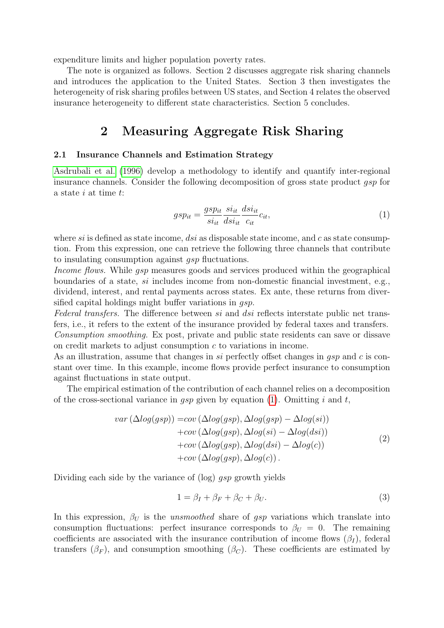expenditure limits and higher population poverty rates.

The note is organized as follows. Section 2 discusses aggregate risk sharing channels and introduces the application to the United States. Section 3 then investigates the heterogeneity of risk sharing profiles between US states, and Section 4 relates the observed insurance heterogeneity to different state characteristics. Section 5 concludes.

# 2 Measuring Aggregate Risk Sharing

#### 2.1 Insurance Channels and Estimation Strategy

Asdrubali et al. (1996) develop a methodology to identify and quantify inter-regional insurance channels. Consider the following decomposition of gross state product gsp for a state i at time t:

<span id="page-2-0"></span>
$$
gsp_{it} = \frac{gsp_{it}}{si_{it}} \frac{si_{it}}{dis_{it}} \frac{dis_{it}}{c_{it}} c_{it},
$$
\n<sup>(1)</sup>

where si is defined as state income, dsi as disposable state income, and c as state consumption. From this expression, one can retrieve the following three channels that contribute to insulating consumption against gsp fluctuations.

Income flows. While gsp measures goods and services produced within the geographical boundaries of a state, si includes income from non-domestic financial investment, e.g., dividend, interest, and rental payments across states. Ex ante, these returns from diversified capital holdings might buffer variations in *qsp*.

Federal transfers. The difference between si and dsi reflects interstate public net transfers, i.e., it refers to the extent of the insurance provided by federal taxes and transfers.

Consumption smoothing. Ex post, private and public state residents can save or dissave on credit markets to adjust consumption c to variations in income.

As an illustration, assume that changes in si perfectly offset changes in  $gsp$  and c is constant over time. In this example, income flows provide perfect insurance to consumption against fluctuations in state output.

The empirical estimation of the contribution of each channel relies on a decomposition of the cross-sectional variance in gsp given by equation [\(1\)](#page-2-0). Omitting i and t,

$$
var\left(\Delta log(gsp)\right) = cov\left(\Delta log(gsp), \Delta log(gsp) - \Delta log(si)\right) + cov\left(\Delta log(gsp), \Delta log(si) - \Delta log(ds)\right) + cov\left(\Delta log(gsp), \Delta log(ds) - \Delta log(c)\right) + cov\left(\Delta log(gsp), \Delta log(c)\right).
$$
\n(2)

Dividing each side by the variance of  $(\log)$  gsp growth yields

$$
1 = \beta_I + \beta_F + \beta_C + \beta_U. \tag{3}
$$

In this expression,  $\beta_U$  is the unsmoothed share of gsp variations which translate into consumption fluctuations: perfect insurance corresponds to  $\beta_U = 0$ . The remaining coefficients are associated with the insurance contribution of income flows  $(\beta_I)$ , federal transfers  $(\beta_F)$ , and consumption smoothing  $(\beta_C)$ . These coefficients are estimated by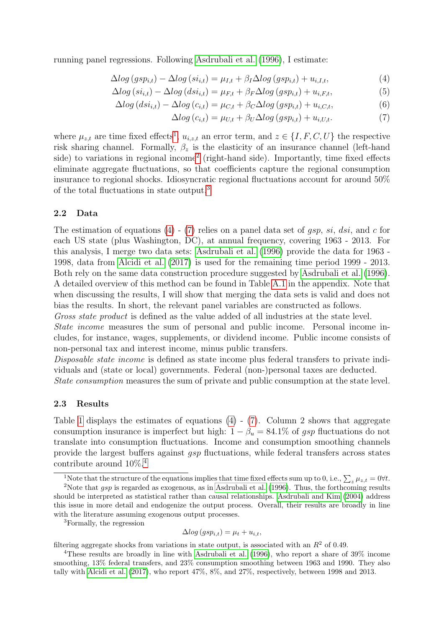running panel regressions. Following Asdrubali et al. (1996), I estimate:

$$
\Delta log (gsp_{i,t}) - \Delta log (si_{i,t}) = \mu_{I,t} + \beta_I \Delta log (gsp_{i,t}) + u_{i,I,t}, \tag{4}
$$

$$
\Delta log\left(s i_{i,t}\right) - \Delta log\left(ds i_{i,t}\right) = \mu_{F,t} + \beta_F \Delta log\left(s p_{i,t}\right) + u_{i,F,t},\tag{5}
$$

$$
\Delta log (ds i_{i,t}) - \Delta log (c_{i,t}) = \mu_{C,t} + \beta_C \Delta log (g s p_{i,t}) + u_{i,C,t},
$$
\n(6)

<span id="page-3-4"></span><span id="page-3-3"></span>
$$
\Delta log (c_{i,t}) = \mu_{U,t} + \beta_U \Delta log (gsp_{i,t}) + u_{i,U,t}.
$$
\n(7)

where  $\mu_{z,t}$  are time fixed effects<sup>[1](#page-3-0)</sup>,  $u_{i,z,t}$  an error term, and  $z \in \{I, F, C, U\}$  the respective risk sharing channel. Formally,  $\beta_z$  is the elasticity of an insurance channel (left-hand side) to variations in regional income<sup>[2](#page-3-1)</sup> (right-hand side). Importantly, time fixed effects eliminate aggregate fluctuations, so that coefficients capture the regional consumption insurance to regional shocks. Idiosyncratic regional fluctuations account for around 50% of the total fluctuations in state output.[3](#page-3-2)

#### 2.2 Data

The estimation of equations [\(4\)](#page-3-3) - [\(7\)](#page-3-4) relies on a panel data set of *qsp*, si, dsi, and c for each US state (plus Washington, DC), at annual frequency, covering 1963 - 2013. For this analysis, I merge two data sets: Asdrubali et al. (1996) provide the data for 1963 - 1998, data from Alcidi et al. (2017) is used for the remaining time period 1999 - 2013. Both rely on the same data construction procedure suggested by Asdrubali et al. (1996). A detailed overview of this method can be found in Table A.1 in the appendix. Note that when discussing the results, I will show that merging the data sets is valid and does not bias the results. In short, the relevant panel variables are constructed as follows.

Gross state product is defined as the value added of all industries at the state level. State income measures the sum of personal and public income. Personal income includes, for instance, wages, supplements, or dividend income. Public income consists of non-personal tax and interest income, minus public transfers.

Disposable state income is defined as state income plus federal transfers to private individuals and (state or local) governments. Federal (non-)personal taxes are deducted. State consumption measures the sum of private and public consumption at the state level.

#### 2.3 Results

Table 1 displays the estimates of equations  $(4)$  -  $(7)$ . Column 2 shows that aggregate consumption insurance is imperfect but high:  $1 - \beta_u = 84.1\%$  of gsp fluctuations do not translate into consumption fluctuations. Income and consumption smoothing channels provide the largest buffers against *asp* fluctuations, while federal transfers across states contribute around 10%.[4](#page-3-5)

<span id="page-3-2"></span><sup>3</sup>Formally, the regression

$$
\Delta log (gsp_{i,t}) = \mu_t + u_{i,t},
$$

filtering aggregate shocks from variations in state output, is associated with an  $R<sup>2</sup>$  of 0.49.

<span id="page-3-1"></span><span id="page-3-0"></span><sup>&</sup>lt;sup>1</sup>Note that the structure of the equations implies that time fixed effects sum up to 0, i.e.,  $\sum_{z} \mu_{z,t} = 0 \forall t$ .

<sup>&</sup>lt;sup>2</sup>Note that  $qsp$  is regarded as exogenous, as in Asdrubali et al. (1996). Thus, the forthcoming results should be interpreted as statistical rather than causal relationships. Asdrubali and Kim (2004) address this issue in more detail and endogenize the output process. Overall, their results are broadly in line with the literature assuming exogenous output processes.

<span id="page-3-5"></span><sup>4</sup>These results are broadly in line with Asdrubali et al. (1996), who report a share of 39% income smoothing, 13% federal transfers, and 23% consumption smoothing between 1963 and 1990. They also tally with Alcidi et al. (2017), who report 47%, 8%, and 27%, respectively, between 1998 and 2013.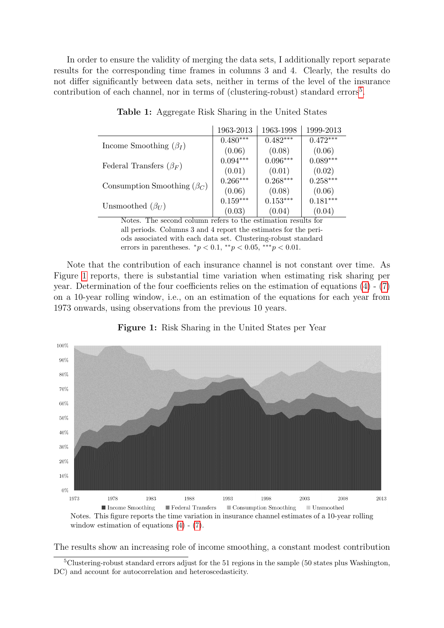<span id="page-4-2"></span>In order to ensure the validity of merging the data sets, I additionally report separate results for the corresponding time frames in columns 3 and 4. Clearly, the results do not differ significantly between data sets, neither in terms of the level of the insurance contribution of each channel, nor in terms of (clustering-robust) standard errors<sup>[5](#page-4-0)</sup>.

|                                   | 1963-2013  | 1963-1998  | 1999-2013  |
|-----------------------------------|------------|------------|------------|
| Income Smoothing $(\beta_I)$      | $0.480***$ | $0.482***$ | $0.472***$ |
|                                   | (0.06)     | (0.08)     | (0.06)     |
| Federal Transfers $(\beta_F)$     | $0.094***$ | $0.096***$ | $0.089***$ |
|                                   | (0.01)     | (0.01)     | (0.02)     |
| Consumption Smoothing $(\beta_C)$ | $0.266***$ | $0.268***$ | $0.258***$ |
|                                   | (0.06)     | (0.08)     | (0.06)     |
|                                   | $0.159***$ | $0.153***$ | $0.181***$ |
| Unsmoothed $(\beta_U)$            | (0.03)     | (0.04)     | (0.04)     |

| Table 1: Aggregate Risk Sharing in the United States |  |  |  |  |  |  |  |
|------------------------------------------------------|--|--|--|--|--|--|--|
|------------------------------------------------------|--|--|--|--|--|--|--|

Notes. The second column refers to the estimation results for all periods. Columns 3 and 4 report the estimates for the periods associated with each data set. Clustering-robust standard errors in parentheses.  ${}^*p < 0.1, {}^{**}p < 0.05, {}^{***}p < 0.01$ .

Note that the contribution of each insurance channel is not constant over time. As Figure [1](#page-4-1) reports, there is substantial time variation when estimating risk sharing per year. Determination of the four coefficients relies on the estimation of equations  $(4)$  -  $(7)$ on a 10-year rolling window, i.e., on an estimation of the equations for each year from 1973 onwards, using observations from the previous 10 years.

<span id="page-4-1"></span>

Figure 1: Risk Sharing in the United States per Year

window estimation of equations [\(4\)](#page-3-3) - [\(7\)](#page-3-4).

The results show an increasing role of income smoothing, a constant modest contribution

<span id="page-4-0"></span><sup>5</sup>Clustering-robust standard errors adjust for the 51 regions in the sample (50 states plus Washington, DC) and account for autocorrelation and heteroscedasticity.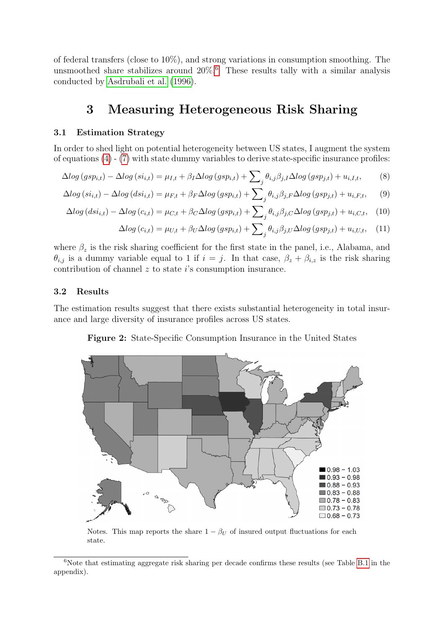of federal transfers (close to 10%), and strong variations in consumption smoothing. The unsmoothed share stabilizes around  $20\%$ .<sup>[6](#page-5-0)</sup> These results tally with a similar analysis conducted by Asdrubali et al. (1996).

## 3 Measuring Heterogeneous Risk Sharing

#### 3.1 Estimation Strategy

In order to shed light on potential heterogeneity between US states, I augment the system of equations [\(4\)](#page-3-3) - [\(7\)](#page-3-4) with state dummy variables to derive state-specific insurance profiles:

$$
\Delta log (gsp_{i,t}) - \Delta log (si_{i,t}) = \mu_{I,t} + \beta_I \Delta log (gsp_{i,t}) + \sum_j \theta_{i,j} \beta_{j,I} \Delta log (gsp_{j,t}) + u_{i,I,t}, \tag{8}
$$

$$
\Delta log\left(s i_{i,t}\right) - \Delta log\left(ds i_{i,t}\right) = \mu_{F,t} + \beta_F \Delta log\left(s p_{i,t}\right) + \sum_j \theta_{i,j} \beta_{j,F} \Delta log\left(s p_{j,t}\right) + u_{i,F,t},\tag{9}
$$

$$
\Delta log (ds i_{i,t}) - \Delta log (c_{i,t}) = \mu_{C,t} + \beta_C \Delta log (g s p_{i,t}) + \sum_j \theta_{i,j} \beta_{j,C} \Delta log (g s p_{j,t}) + u_{i,C,t}, \quad (10)
$$

<span id="page-5-3"></span><span id="page-5-2"></span>
$$
\Delta log (c_{i,t}) = \mu_{U,t} + \beta_U \Delta log (gsp_{i,t}) + \sum_j \theta_{i,j} \beta_{j,U} \Delta log (gsp_{j,t}) + u_{i,U,t}, \quad (11)
$$

where  $\beta_z$  is the risk sharing coefficient for the first state in the panel, i.e., Alabama, and  $\theta_{i,j}$  is a dummy variable equal to 1 if  $i = j$ . In that case,  $\beta_z + \beta_{i,z}$  is the risk sharing contribution of channel  $z$  to state  $i$ 's consumption insurance.

#### 3.2 Results

<span id="page-5-1"></span>The estimation results suggest that there exists substantial heterogeneity in total insurance and large diversity of insurance profiles across US states.

Figure 2: State-Specific Consumption Insurance in the United States



Notes. This map reports the share  $1 - \beta_U$  of insured output fluctuations for each state.

<span id="page-5-0"></span><sup>&</sup>lt;sup>6</sup>Note that estimating aggregate risk sharing per decade confirms these results (see Table B.1 in the appendix).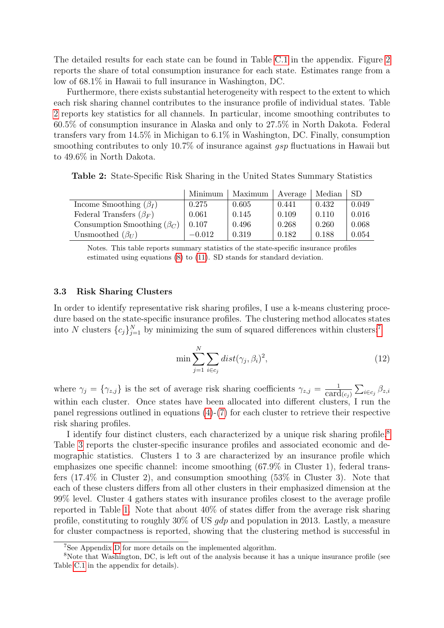The detailed results for each state can be found in Table C.1 in the appendix. Figure [2](#page-5-1) reports the share of total consumption insurance for each state. Estimates range from a low of 68.1% in Hawaii to full insurance in Washington, DC.

Furthermore, there exists substantial heterogeneity with respect to the extent to which each risk sharing channel contributes to the insurance profile of individual states. Table [2](#page-6-0) reports key statistics for all channels. In particular, income smoothing contributes to 60.5% of consumption insurance in Alaska and only to 27.5% in North Dakota. Federal transfers vary from 14.5% in Michigan to 6.1% in Washington, DC. Finally, consumption smoothing contributes to only 10.7% of insurance against *qsp* fluctuations in Hawaii but to 49.6% in North Dakota.

<span id="page-6-0"></span>Table 2: State-Specific Risk Sharing in the United States Summary Statistics

|                                   | Minimum  | Maximum | Average | Median | <b>SD</b> |
|-----------------------------------|----------|---------|---------|--------|-----------|
| Income Smoothing $(\beta_I)$      | 0.275    | 0.605   | 0.441   | 0.432  | 0.049     |
| Federal Transfers $(\beta_F)$     | 0.061    | 0.145   | 0.109   | 0.110  | 0.016     |
| Consumption Smoothing $(\beta_C)$ | 0.107    | 0.496   | 0.268   | 0.260  | 0.068     |
| Unsmoothed $(\beta_U)$            | $-0.012$ | 0.319   | 0.182   | 0.188  | 0.054     |

Notes. This table reports summary statistics of the state-specific insurance profiles estimated using equations [\(8\)](#page-5-2) to [\(11\)](#page-5-3). SD stands for standard deviation.

#### 3.3 Risk Sharing Clusters

In order to identify representative risk sharing profiles, I use a k-means clustering procedure based on the state-specific insurance profiles. The clustering method allocates states into N clusters  ${c_j}_{j=1}^N$  by minimizing the sum of squared differences within clusters:<sup>[7](#page-6-1)</sup>

$$
\min \sum_{j=1}^{N} \sum_{i \in c_j} dist(\gamma_j, \beta_i)^2,
$$
\n(12)

where  $\gamma_j = \{\gamma_{z,j}\}\$ is the set of average risk sharing coefficients  $\gamma_{z,j} = \frac{1}{\text{card}(c_j)} \sum_{i \in c_j} \beta_{z,i}$ within each cluster. Once states have been allocated into different clusters, I run the panel regressions outlined in equations [\(4\)](#page-3-3)-[\(7\)](#page-3-4) for each cluster to retrieve their respective risk sharing profiles.

I identify four distinct clusters, each characterized by a unique risk sharing profile.<sup>[8](#page-6-2)</sup> Table 3 reports the cluster-specific insurance profiles and associated economic and demographic statistics. Clusters 1 to 3 are characterized by an insurance profile which emphasizes one specific channel: income smoothing (67.9% in Cluster 1), federal transfers (17.4% in Cluster 2), and consumption smoothing (53% in Cluster 3). Note that each of these clusters differs from all other clusters in their emphasized dimension at the 99% level. Cluster 4 gathers states with insurance profiles closest to the average profile reported in Table [1.](#page-4-2) Note that about 40% of states differ from the average risk sharing profile, constituting to roughly  $30\%$  of US *qdp* and population in 2013. Lastly, a measure for cluster compactness is reported, showing that the clustering method is successful in

<span id="page-6-2"></span><span id="page-6-1"></span><sup>7</sup>See Appendix D for more details on the implemented algorithm.

<sup>8</sup>Note that Washington, DC, is left out of the analysis because it has a unique insurance profile (see Table C.1 in the appendix for details).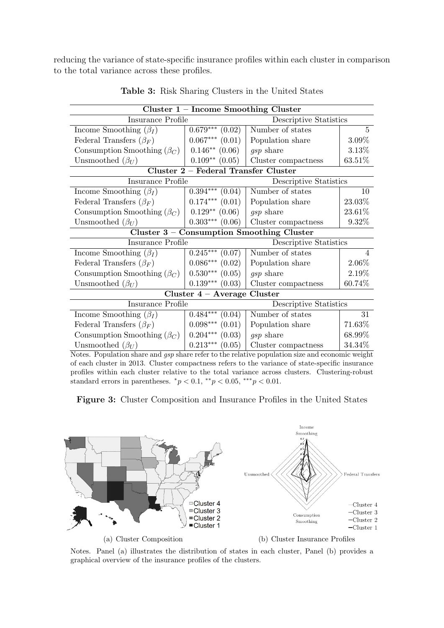reducing the variance of state-specific insurance profiles within each cluster in comparison to the total variance across these profiles.

| Cluster $1$ – Income Smoothing Cluster                                                                 |                                      |                                           |             |  |
|--------------------------------------------------------------------------------------------------------|--------------------------------------|-------------------------------------------|-------------|--|
| Insurance Profile                                                                                      |                                      | Descriptive Statistics                    |             |  |
| Income Smoothing $(\beta_I)$                                                                           | $0.679***$ $(0.02)$                  | Number of states                          | $5^{\circ}$ |  |
| Federal Transfers $(\beta_F)$                                                                          | $0.067***$ $(0.01)$                  | Population share                          | 3.09%       |  |
| Consumption Smoothing $(\beta_C)$                                                                      | $0.146**$ (0.06)                     | <i>gsp</i> share                          | 3.13%       |  |
| Unsmoothed $(\beta_U)$                                                                                 | $0.109**$ (0.05)                     | Cluster compactness                       | 63.51%      |  |
|                                                                                                        | Cluster 2 - Federal Transfer Cluster |                                           |             |  |
| Insurance Profile                                                                                      |                                      | Descriptive Statistics                    |             |  |
| Income Smoothing $(\beta_I)$                                                                           | $0.394***$ $(0.04)$                  | Number of states                          | 10          |  |
| Federal Transfers $(\beta_F)$                                                                          | $0.174***$ $(0.01)$                  | Population share                          | 23.03%      |  |
| Consumption Smoothing $(\beta_C)$                                                                      | $0.129**$ (0.06)                     | <i>gsp</i> share                          | 23.61%      |  |
| Unsmoothed $(\beta_U)$                                                                                 | $0.303***$ $(0.06)$                  | Cluster compactness                       | 9.32%       |  |
|                                                                                                        |                                      | Cluster 3 - Consumption Smoothing Cluster |             |  |
| Insurance Profile                                                                                      |                                      | Descriptive Statistics                    |             |  |
| Income Smoothing $(\beta_I)$                                                                           | $0.245***$<br>(0.07)                 | Number of states                          | 4           |  |
| Federal Transfers $(\beta_F)$                                                                          | $0.086***$ $(0.02)$                  | Population share                          | 2.06%       |  |
| Consumption Smoothing $(\beta_C)$                                                                      | $0.530***$ $(0.05)$                  | gsp share                                 | 2.19%       |  |
| Unsmoothed $(\beta_U)$                                                                                 | $0.139***$ $(0.03)$                  | Cluster compactness                       | 60.74\%     |  |
|                                                                                                        | Cluster 4 - Average Cluster          |                                           |             |  |
| Insurance Profile                                                                                      |                                      | Descriptive Statistics                    |             |  |
| Income Smoothing $(\beta_I)$                                                                           | $0.484***$ $(0.04)$                  | Number of states                          | 31          |  |
| Federal Transfers $(\beta_F)$                                                                          | $0.098***$ $(0.01)$                  | Population share                          | 71.63%      |  |
| Consumption Smoothing $(\beta_C)$                                                                      | $0.204***$ $(0.03)$                  | gsp share                                 | 68.99%      |  |
| Unsmoothed $(\beta_U)$                                                                                 | $0.213***$ $(0.05)$                  | Cluster compactness                       | 34.34%      |  |
| Notes, Population share and <i>gen</i> share refer to the relative population size and economic weight |                                      |                                           |             |  |

Table 3: Risk Sharing Clusters in the United States

Notes. Population share and gsp share refer to the relative population size and economic weight of each cluster in 2013. Cluster compactness refers to the variance of state-specific insurance profiles within each cluster relative to the total variance across clusters. Clustering-robust standard errors in parentheses.  ${}^*p < 0.1$ ,  ${}^{**}p < 0.05$ ,  ${}^{***}p < 0.01$ .

<span id="page-7-0"></span>Figure 3: Cluster Composition and Insurance Profiles in the United States



Notes. Panel (a) illustrates the distribution of states in each cluster, Panel (b) provides a graphical overview of the insurance profiles of the clusters.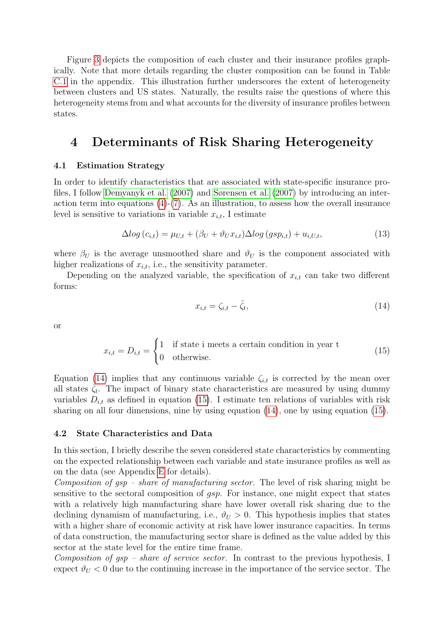Figure [3](#page-7-0) depicts the composition of each cluster and their insurance profiles graphically. Note that more details regarding the cluster composition can be found in Table C.1 in the appendix. This illustration further underscores the extent of heterogeneity between clusters and US states. Naturally, the results raise the questions of where this heterogeneity stems from and what accounts for the diversity of insurance profiles between states.

# 4 Determinants of Risk Sharing Heterogeneity

#### 4.1 Estimation Strategy

In order to identify characteristics that are associated with state-specific insurance profiles, I follow Demyanyk et al. (2007) and Sørensen et al. (2007) by introducing an interaction term into equations  $(4)-(7)$  $(4)-(7)$ . As an illustration, to assess how the overall insurance level is sensitive to variations in variable  $x_{i,t}$ , I estimate

$$
\Delta log(c_{i,t}) = \mu_{U,t} + (\beta_U + \vartheta_U x_{i,t}) \Delta log(gsp_{i,t}) + u_{i,U,t},\tag{13}
$$

where  $\beta_U$  is the average unsmoothed share and  $\vartheta_U$  is the component associated with higher realizations of  $x_{i,t}$ , i.e., the sensitivity parameter.

Depending on the analyzed variable, the specification of  $x_{i,t}$  can take two different forms:

<span id="page-8-2"></span><span id="page-8-1"></span><span id="page-8-0"></span>
$$
x_{i,t} = \zeta_{i,t} - \bar{\zeta}_t,\tag{14}
$$

or

$$
x_{i,t} = D_{i,t} = \begin{cases} 1 & \text{if state i meets a certain condition in year t} \\ 0 & \text{otherwise.} \end{cases}
$$
 (15)

Equation [\(14\)](#page-8-0) implies that any continuous variable  $\zeta_{i,t}$  is corrected by the mean over all states  $\overline{\zeta}_t$ . The impact of binary state characteristics are measured by using dummy variables  $D_{i,t}$  as defined in equation [\(15\)](#page-8-1). I estimate ten relations of variables with risk sharing on all four dimensions, nine by using equation [\(14\)](#page-8-0), one by using equation [\(15\)](#page-8-1).

#### 4.2 State Characteristics and Data

In this section, I briefly describe the seven considered state characteristics by commenting on the expected relationship between each variable and state insurance profiles as well as on the data (see Appendix E for details).

Composition of  $qsp$  – share of manufacturing sector. The level of risk sharing might be sensitive to the sectoral composition of gsp. For instance, one might expect that states with a relatively high manufacturing share have lower overall risk sharing due to the declining dynamism of manufacturing, i.e.,  $\vartheta_U > 0$ . This hypothesis implies that states with a higher share of economic activity at risk have lower insurance capacities. In terms of data construction, the manufacturing sector share is defined as the value added by this sector at the state level for the entire time frame.

Composition of  $gsp - share$  of service sector. In contrast to the previous hypothesis, I expect  $\vartheta_U < 0$  due to the continuing increase in the importance of the service sector. The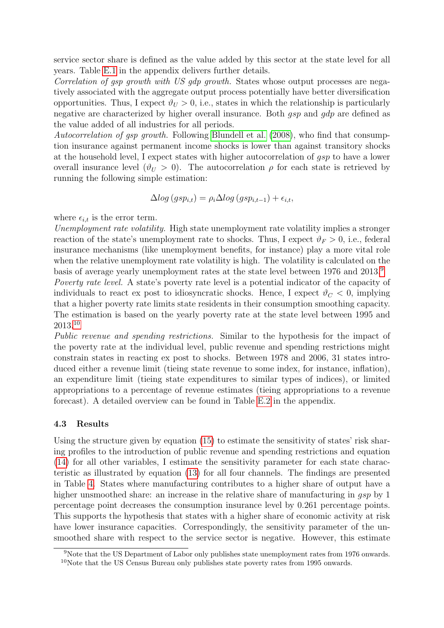service sector share is defined as the value added by this sector at the state level for all years. Table E.1 in the appendix delivers further details.

Correlation of gsp growth with US gdp growth. States whose output processes are negatively associated with the aggregate output process potentially have better diversification opportunities. Thus, I expect  $\vartheta_U > 0$ , i.e., states in which the relationship is particularly negative are characterized by higher overall insurance. Both gsp and gdp are defined as the value added of all industries for all periods.

Autocorrelation of gsp growth. Following Blundell et al. (2008), who find that consumption insurance against permanent income shocks is lower than against transitory shocks at the household level, I expect states with higher autocorrelation of gsp to have a lower overall insurance level  $(\vartheta_U > 0)$ . The autocorrelation  $\rho$  for each state is retrieved by running the following simple estimation:

$$
\Delta log (gsp_{i,t}) = \rho_i \Delta log (gsp_{i,t-1}) + \epsilon_{i,t},
$$

where  $\epsilon_{i,t}$  is the error term.

Unemployment rate volatility. High state unemployment rate volatility implies a stronger reaction of the state's unemployment rate to shocks. Thus, I expect  $\vartheta_F > 0$ , i.e., federal insurance mechanisms (like unemployment benefits, for instance) play a more vital role when the relative unemployment rate volatility is high. The volatility is calculated on the basis of average yearly unemployment rates at the state level between 1976 and 2013.[9](#page-9-0)

Poverty rate level. A state's poverty rate level is a potential indicator of the capacity of individuals to react ex post to idiosyncratic shocks. Hence, I expect  $\vartheta_C < 0$ , implying that a higher poverty rate limits state residents in their consumption smoothing capacity. The estimation is based on the yearly poverty rate at the state level between 1995 and 2013.[10](#page-9-1)

Public revenue and spending restrictions. Similar to the hypothesis for the impact of the poverty rate at the individual level, public revenue and spending restrictions might constrain states in reacting ex post to shocks. Between 1978 and 2006, 31 states introduced either a revenue limit (tieing state revenue to some index, for instance, inflation), an expenditure limit (tieing state expenditures to similar types of indices), or limited appropriations to a percentage of revenue estimates (tieing appropriations to a revenue forecast). A detailed overview can be found in Table E.2 in the appendix.

#### 4.3 Results

Using the structure given by equation [\(15\)](#page-8-1) to estimate the sensitivity of states' risk sharing profiles to the introduction of public revenue and spending restrictions and equation [\(14\)](#page-8-0) for all other variables, I estimate the sensitivity parameter for each state characteristic as illustrated by equation [\(13\)](#page-8-2) for all four channels. The findings are presented in Table 4. States where manufacturing contributes to a higher share of output have a higher unsmoothed share: an increase in the relative share of manufacturing in gsp by 1 percentage point decreases the consumption insurance level by 0.261 percentage points. This supports the hypothesis that states with a higher share of economic activity at risk have lower insurance capacities. Correspondingly, the sensitivity parameter of the unsmoothed share with respect to the service sector is negative. However, this estimate

<span id="page-9-1"></span><span id="page-9-0"></span><sup>&</sup>lt;sup>9</sup>Note that the US Department of Labor only publishes state unemployment rates from 1976 onwards. <sup>10</sup>Note that the US Census Bureau only publishes state poverty rates from 1995 onwards.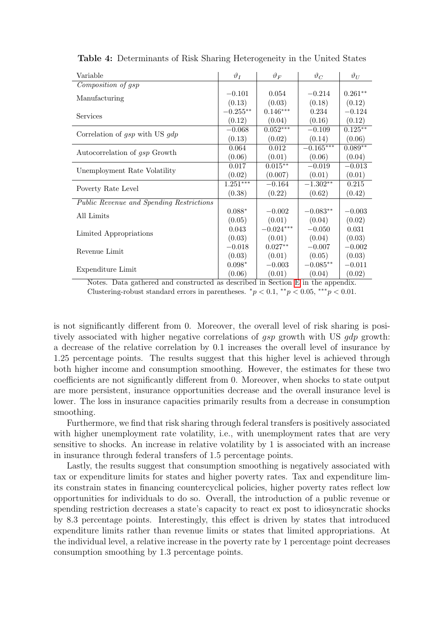| Variable                                 | $\vartheta_I$ | $\vartheta_F$ | $\vartheta_C$ | $\vartheta_U$ |
|------------------------------------------|---------------|---------------|---------------|---------------|
| Composition of gsp                       |               |               |               |               |
|                                          | $-0.101$      | 0.054         | $-0.214$      | $0.261**$     |
| Manufacturing                            | (0.13)        | (0.03)        | (0.18)        | (0.12)        |
|                                          | $-0.255**$    | $0.146***$    | 0.234         | $-0.124$      |
| Services                                 | (0.12)        | (0.04)        | (0.16)        | (0.12)        |
|                                          | $-0.068$      | $0.052***$    | $-0.109$      | $0.125***$    |
| Correlation of $gsp$ with US $gdp$       | (0.13)        | (0.02)        | (0.14)        | (0.06)        |
|                                          | 0.064         | 0.012         | $-0.165***$   | $0.089**$     |
| Autocorrelation of gsp Growth            | (0.06)        | (0.01)        | (0.06)        | (0.04)        |
|                                          | 0.017         | $0.015***$    | $-0.019$      | $-0.013$      |
| Unemployment Rate Volatility             | (0.02)        | (0.007)       | (0.01)        | (0.01)        |
| Poverty Rate Level                       | $1.251***$    | $-0.164$      | $-1.302**$    | 0.215         |
|                                          | (0.38)        | (0.22)        | (0.62)        | (0.42)        |
| Public Revenue and Spending Restrictions |               |               |               |               |
| All Limits                               | $0.088*$      | $-0.002$      | $-0.083**$    | $-0.003$      |
|                                          | (0.05)        | (0.01)        | (0.04)        | (0.02)        |
|                                          | 0.043         | $-0.024***$   | $-0.050$      | 0.031         |
| Limited Appropriations                   | (0.03)        | (0.01)        | (0.04)        | (0.03)        |
| Revenue Limit                            | $-0.018$      | $0.027**$     | $-0.007$      | $-0.002$      |
|                                          | (0.03)        | (0.01)        | (0.05)        | (0.03)        |
|                                          | $0.098*$      | $-0.003$      | $-0.085**$    | $-0.011$      |
| Expenditure Limit                        | (0.06)        | (0.01)        | (0.04)        | (0.02)        |

Table 4: Determinants of Risk Sharing Heterogeneity in the United States

Notes. Data gathered and constructed as described in Section E in the appendix. Clustering-robust standard errors in parentheses.  $\frac{*p}{<}0.1, \frac{**p}{<}0.05, \frac{***p}{<}0.01$ .

is not significantly different from 0. Moreover, the overall level of risk sharing is positively associated with higher negative correlations of *qsp* growth with US *qdp* growth: a decrease of the relative correlation by 0.1 increases the overall level of insurance by 1.25 percentage points. The results suggest that this higher level is achieved through both higher income and consumption smoothing. However, the estimates for these two coefficients are not significantly different from 0. Moreover, when shocks to state output are more persistent, insurance opportunities decrease and the overall insurance level is lower. The loss in insurance capacities primarily results from a decrease in consumption smoothing.

Furthermore, we find that risk sharing through federal transfers is positively associated with higher unemployment rate volatility, i.e., with unemployment rates that are very sensitive to shocks. An increase in relative volatility by 1 is associated with an increase in insurance through federal transfers of 1.5 percentage points.

Lastly, the results suggest that consumption smoothing is negatively associated with tax or expenditure limits for states and higher poverty rates. Tax and expenditure limits constrain states in financing countercyclical policies, higher poverty rates reflect low opportunities for individuals to do so. Overall, the introduction of a public revenue or spending restriction decreases a state's capacity to react ex post to idiosyncratic shocks by 8.3 percentage points. Interestingly, this effect is driven by states that introduced expenditure limits rather than revenue limits or states that limited appropriations. At the individual level, a relative increase in the poverty rate by 1 percentage point decreases consumption smoothing by 1.3 percentage points.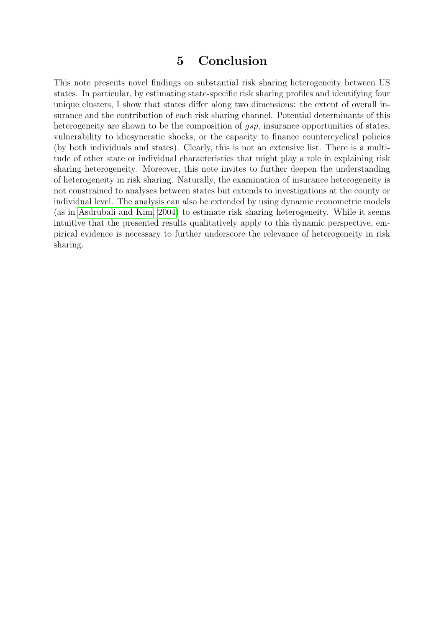### 5 Conclusion

This note presents novel findings on substantial risk sharing heterogeneity between US states. In particular, by estimating state-specific risk sharing profiles and identifying four unique clusters, I show that states differ along two dimensions: the extent of overall insurance and the contribution of each risk sharing channel. Potential determinants of this heterogeneity are shown to be the composition of *gsp*, insurance opportunities of states, vulnerability to idiosyncratic shocks, or the capacity to finance countercyclical policies (by both individuals and states). Clearly, this is not an extensive list. There is a multitude of other state or individual characteristics that might play a role in explaining risk sharing heterogeneity. Moreover, this note invites to further deepen the understanding of heterogeneity in risk sharing. Naturally, the examination of insurance heterogeneity is not constrained to analyses between states but extends to investigations at the county or individual level. The analysis can also be extended by using dynamic econometric models (as in Asdrubali and Kim, 2004) to estimate risk sharing heterogeneity. While it seems intuitive that the presented results qualitatively apply to this dynamic perspective, empirical evidence is necessary to further underscore the relevance of heterogeneity in risk sharing.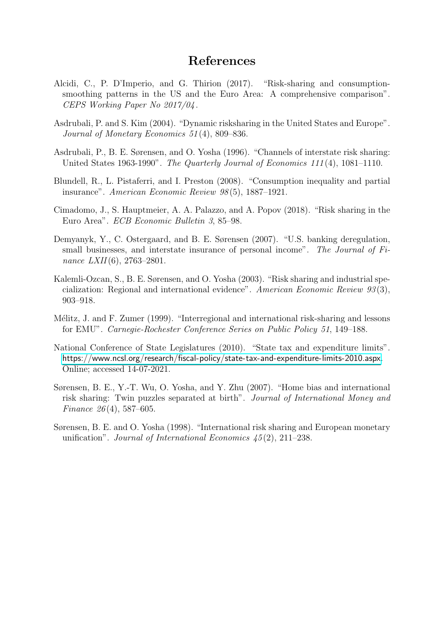### References

- Alcidi, C., P. D'Imperio, and G. Thirion (2017). "Risk-sharing and consumptionsmoothing patterns in the US and the Euro Area: A comprehensive comparison". CEPS Working Paper No 2017/04 .
- Asdrubali, P. and S. Kim (2004). "Dynamic risksharing in the United States and Europe". Journal of Monetary Economics 51 (4), 809–836.
- <span id="page-12-0"></span>Asdrubali, P., B. E. Sørensen, and O. Yosha (1996). "Channels of interstate risk sharing: United States 1963-1990". The Quarterly Journal of Economics 111 (4), 1081–1110.
- Blundell, R., L. Pistaferri, and I. Preston (2008). "Consumption inequality and partial insurance". American Economic Review 98 (5), 1887–1921.
- Cimadomo, J., S. Hauptmeier, A. A. Palazzo, and A. Popov (2018). "Risk sharing in the Euro Area". ECB Economic Bulletin 3, 85–98.
- Demyanyk, Y., C. Ostergaard, and B. E. Sørensen (2007). "U.S. banking deregulation, small businesses, and interstate insurance of personal income". The Journal of Finance LXII(6), 2763-2801.
- Kalemli-Ozcan, S., B. E. Sørensen, and O. Yosha (2003). "Risk sharing and industrial specialization: Regional and international evidence". American Economic Review 93 (3), 903–918.
- Mélitz, J. and F. Zumer (1999). "Interregional and international risk-sharing and lessons for EMU". Carnegie-Rochester Conference Series on Public Policy 51, 149–188.
- <span id="page-12-1"></span>National Conference of State Legislatures (2010). "State tax and expenditure limits". <https://www.ncsl.org/research/fiscal-policy/state-tax-and-expenditure-limits-2010.aspx>. Online; accessed 14-07-2021.
- Sørensen, B. E., Y.-T. Wu, O. Yosha, and Y. Zhu (2007). "Home bias and international risk sharing: Twin puzzles separated at birth". Journal of International Money and Finance 26 (4), 587–605.
- Sørensen, B. E. and O. Yosha (1998). "International risk sharing and European monetary unification". Journal of International Economics  $\angle 45(2)$ , 211–238.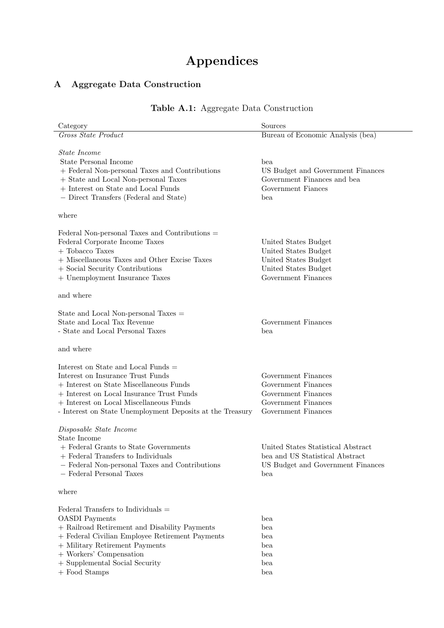# Appendices

### A Aggregate Data Construction

| Category                                                                                         | Sources                            |
|--------------------------------------------------------------------------------------------------|------------------------------------|
| Gross State Product                                                                              | Bureau of Economic Analysis (bea)  |
|                                                                                                  |                                    |
| <i>State Income</i><br><b>State Personal Income</b>                                              | bea                                |
| + Federal Non-personal Taxes and Contributions                                                   | US Budget and Government Finances  |
| + State and Local Non-personal Taxes                                                             | Government Finances and bea        |
| + Interest on State and Local Funds                                                              | Government Fiances                 |
| - Direct Transfers (Federal and State)                                                           | bea                                |
|                                                                                                  |                                    |
| where                                                                                            |                                    |
| Federal Non-personal Taxes and Contributions =                                                   |                                    |
| Federal Corporate Income Taxes                                                                   | United States Budget               |
| $+$ Tobacco Taxes                                                                                | United States Budget               |
| + Miscellaneous Taxes and Other Excise Taxes                                                     | United States Budget               |
| + Social Security Contributions                                                                  | United States Budget               |
| + Unemployment Insurance Taxes                                                                   | Government Finances                |
| and where                                                                                        |                                    |
| State and Local Non-personal Taxes =                                                             |                                    |
| State and Local Tax Revenue                                                                      | Government Finances                |
| - State and Local Personal Taxes                                                                 | bea                                |
|                                                                                                  |                                    |
| and where                                                                                        |                                    |
| Interest on State and Local Funds $=$                                                            |                                    |
| Interest on Insurance Trust Funds                                                                | Government Finances                |
| + Interest on State Miscellaneous Funds                                                          | Government Finances                |
| + Interest on Local Insurance Trust Funds                                                        | Government Finances                |
| + Interest on Local Miscellaneous Funds                                                          | Government Finances                |
| - Interest on State Unemployment Deposits at the Treasury                                        | Government Finances                |
| Disposable State Income                                                                          |                                    |
| State Income                                                                                     |                                    |
| + Federal Grants to State Governments                                                            | United States Statistical Abstract |
| + Federal Transfers to Individuals                                                               | bea and US Statistical Abstract    |
| - Federal Non-personal Taxes and Contributions                                                   | US Budget and Government Finances  |
| - Federal Personal Taxes                                                                         | bea                                |
| where                                                                                            |                                    |
|                                                                                                  |                                    |
| Federal Transfers to Individuals $=$                                                             |                                    |
| <b>OASDI</b> Payments                                                                            | bea                                |
| + Railroad Retirement and Disability Payments<br>+ Federal Civilian Employee Retirement Payments | bea<br>bea                         |
| + Military Retirement Payments                                                                   | bea                                |
| + Workers' Compensation                                                                          | bea                                |
| + Supplemental Social Security                                                                   | bea                                |

 $\hbox{\large +}$  Food Stamps bea

## Table A.1: Aggregate Data Construction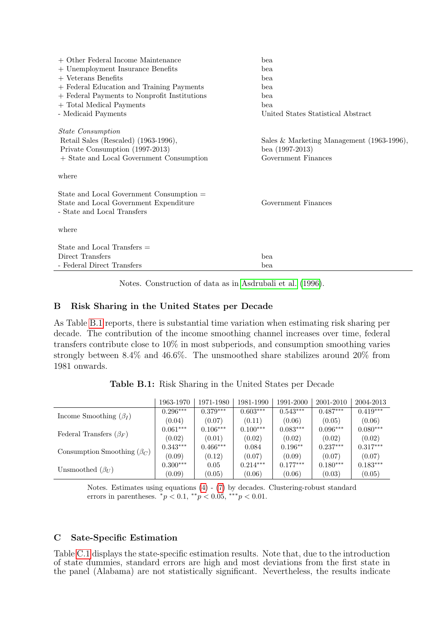| $+$ Other Federal Income Maintenance         | bea                                       |
|----------------------------------------------|-------------------------------------------|
| + Unemployment Insurance Benefits            | bea                                       |
| $+$ Veterans Benefits                        | bea                                       |
| + Federal Education and Training Payments    | bea                                       |
| + Federal Payments to Nonprofit Institutions | bea                                       |
| + Total Medical Payments                     | bea                                       |
| - Medicaid Payments                          | United States Statistical Abstract        |
| <i>State Consumption</i>                     |                                           |
| Retail Sales (Rescaled) (1963-1996),         | Sales & Marketing Management (1963-1996), |
| Private Consumption (1997-2013)              | bea $(1997-2013)$                         |
| + State and Local Government Consumption     | Government Finances                       |
| where                                        |                                           |
| State and Local Government Consumption =     |                                           |
| State and Local Government Expenditure       | Government Finances                       |
| - State and Local Transfers                  |                                           |
| where                                        |                                           |
| State and Local Transfers $=$                |                                           |
| Direct Transfers                             | bea                                       |
| - Federal Direct Transfers                   | bea                                       |

Notes. Construction of data as in [Asdrubali et al. \(1996\)](#page-12-0).

#### B Risk Sharing in the United States per Decade

As Table [B.1](#page-14-0) reports, there is substantial time variation when estimating risk sharing per decade. The contribution of the income smoothing channel increases over time, federal transfers contribute close to 10% in most subperiods, and consumption smoothing varies strongly between 8.4% and 46.6%. The unsmoothed share stabilizes around 20% from 1981 onwards.

Table B.1: Risk Sharing in the United States per Decade

<span id="page-14-0"></span>

|                                   | 1963-1970  | 1971-1980  | 1981-1990  | 1991-2000  | 2001-2010  | 2004-2013  |
|-----------------------------------|------------|------------|------------|------------|------------|------------|
|                                   | $0.296***$ | $0.379***$ | $0.603***$ | $0.543***$ | $0.487***$ | $0.419***$ |
| Income Smoothing $(\beta_I)$      | (0.04)     | (0.07)     | (0.11)     | (0.06)     | (0.05)     | (0.06)     |
| Federal Transfers $(\beta_F)$     | $0.061***$ | $0.106***$ | $0.100***$ | $0.083***$ | $0.096***$ | $0.080***$ |
|                                   | (0.02)     | (0.01)     | (0.02)     | (0.02)     | (0.02)     | (0.02)     |
| Consumption Smoothing $(\beta_C)$ | $0.343***$ | $0.466***$ | 0.084      | $0.196**$  | $0.237***$ | $0.317***$ |
|                                   | (0.09)     | (0.12)     | (0.07)     | (0.09)     | (0.07)     | (0.07)     |
| Unsmoothed $(\beta_U)$            | $0.300***$ | 0.05       | $0.214***$ | $0.177***$ | $0.180***$ | $0.183***$ |
|                                   | (0.09)     | (0.05)     | (0.06)     | (0.06)     | (0.03)     | (0.05)     |

Notes. Estimates using equations  $(4)$  -  $(7)$  by decades. Clustering-robust standard errors in parentheses.  ${}^*p < 0.1, {}^{**}p < 0.05, {}^{***}p < 0.01$ .

### C Sate-Specific Estimation

Table C.1 displays the state-specific estimation results. Note that, due to the introduction of state dummies, standard errors are high and most deviations from the first state in the panel (Alabama) are not statistically significant. Nevertheless, the results indicate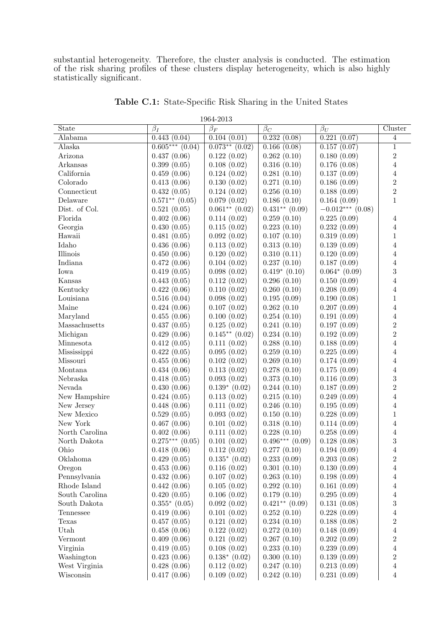substantial heterogeneity. Therefore, the cluster analysis is conducted. The estimation of the risk sharing profiles of these clusters display heterogeneity, which is also highly statistically significant.

| <b>State</b>                      | $\overline{\beta_I}$ | TOOI TOTO<br>$\beta_F$ | $\beta_C$           | $\beta_U$          | Cluster        |
|-----------------------------------|----------------------|------------------------|---------------------|--------------------|----------------|
| Alabama                           | 0.443(0.04)          | 0.104(0.01)            | 0.232(0.08)         | 0.221(0.07)        | 4              |
| Alaska                            | $0.605***(0.04)$     | $0.073**$ $(0.02)$     | 0.166(0.08)         | 0.157(0.07)        | $\overline{1}$ |
| Arizona                           | 0.437(0.06)          | 0.122(0.02)            | 0.262(0.10)         | 0.180(0.09)        | $\overline{2}$ |
| Arkansas                          | 0.399(0.05)          | 0.108(0.02)            | 0.316(0.10)         | 0.176(0.08)        | $\overline{4}$ |
| California                        | 0.459(0.06)          | 0.124(0.02)            | 0.281(0.10)         | 0.137(0.09)        | $\overline{4}$ |
| Colorado                          | 0.413(0.06)          | 0.130(0.02)            | 0.271(0.10)         | 0.186(0.09)        | $\sqrt{2}$     |
| Connecticut                       | 0.432(0.05)          | 0.124(0.02)            | 0.256(0.10)         | 0.188(0.09)        | $\overline{2}$ |
| Delaware                          | $0.571**$ $(0.05)$   | 0.079(0.02)            | 0.186(0.10)         | 0.164(0.09)        | $\mathbf{1}$   |
| Dist. of Col.                     | 0.521(0.05)          | $0.061**$ (0.02)       | $0.431**$ $(0.09)$  | $-0.012***$ (0.08) |                |
| Florida                           | 0.402(0.06)          | 0.114(0.02)            | 0.259(0.10)         | 0.225(0.09)        | $\overline{4}$ |
| Georgia                           | 0.430(0.05)          | 0.115(0.02)            | 0.223(0.10)         | 0.232(0.09)        | $\overline{4}$ |
| Hawaii                            | 0.481(0.05)          | 0.092(0.02)            | 0.107(0.10)         | 0.319(0.09)        | $\mathbf{1}$   |
| Idaho                             | 0.436(0.06)          | 0.113(0.02)            | 0.313(0.10)         | 0.139(0.09)        | $\sqrt{4}$     |
| Illinois                          | 0.450(0.06)          | 0.120(0.02)            | 0.310(0.11)         | 0.120(0.09)        | $\overline{4}$ |
| Indiana                           | 0.472(0.06)          | 0.104(0.02)            | 0.237(0.10)         | 0.187(0.09)        | $\sqrt{4}$     |
| Iowa                              | 0.419(0.05)          | 0.098(0.02)            | $0.419*(0.10)$      | $0.064*$ $(0.09)$  | 3              |
| Kansas                            | 0.443(0.05)          | 0.112(0.02)            | 0.296(0.10)         | 0.150(0.09)        | $\overline{4}$ |
| Kentucky                          | 0.422(0.06)          | 0.110(0.02)            | 0.260(0.10)         | 0.208(0.09)        | $\overline{4}$ |
| Louisiana                         | 0.516(0.04)          | 0.098(0.02)            | 0.195(0.09)         | 0.190(0.08)        | $\mathbf{1}$   |
| Maine                             | 0.424(0.06)          | 0.107(0.02)            | 0.262(0.10)         | 0.207(0.09)        | $\overline{4}$ |
| Maryland                          | 0.455(0.06)          | 0.100(0.02)            | 0.254(0.10)         | 0.191(0.09)        | $\sqrt{4}$     |
| $\label{thm:assac} Massachusetts$ | 0.437(0.05)          | 0.125(0.02)            | 0.241(0.10)         | 0.197(0.09)        | $\sqrt{2}$     |
| Michigan                          | 0.429(0.06)          | $0.145**$ $(0.02)$     | 0.234(0.10)         | 0.192(0.09)        | $\overline{2}$ |
| Minnesota                         | 0.412(0.05)          | 0.111(0.02)            | 0.288(0.10)         | 0.188(0.09)        | $\overline{4}$ |
| Mississippi                       | 0.422(0.05)          | 0.095(0.02)            | 0.259(0.10)         | 0.225(0.09)        | $\overline{4}$ |
| Missouri                          | 0.455(0.06)          | 0.102(0.02)            | 0.269(0.10)         | 0.174(0.09)        | $\overline{4}$ |
| Montana                           | 0.434(0.06)          | 0.113(0.02)            | 0.278(0.10)         | 0.175(0.09)        | $\sqrt{4}$     |
| Nebraska                          | 0.418(0.05)          | 0.093(0.02)            | 0.373(0.10)         | 0.116(0.09)        | $\overline{3}$ |
| Nevada                            | 0.430(0.06)          | $0.139*(0.02)$         | 0.244(0.10)         | 0.187(0.09)        | $\overline{2}$ |
| New Hampshire                     | 0.424(0.05)          | 0.113(0.02)            | 0.215(0.10)         | 0.249(0.09)        | $\overline{4}$ |
| New Jersey                        | 0.448(0.06)          | 0.111(0.02)            | 0.246(0.10)         | 0.195(0.09)        | $\overline{4}$ |
| New Mexico                        | 0.529(0.05)          | 0.093(0.02)            | 0.150(0.10)         | 0.228(0.09)        | $\mathbf{1}$   |
| ${\hbox{New York}}$               | 0.467(0.06)          | 0.101(0.02)            | 0.318(0.10)         | 0.114(0.09)        | $\sqrt{4}$     |
| North Carolina                    | 0.402(0.06)          | 0.111(0.02)            | 0.228(0.10)         | 0.258(0.09)        | $\overline{4}$ |
| North Dakota                      | $0.275***$ $(0.05)$  | 0.101(0.02)            | $0.496***$ $(0.09)$ | 0.128(0.08)        | $\sqrt{3}$     |
| Ohio                              | 0.418(0.06)          | 0.112(0.02)            | 0.277(0.10)         | 0.194(0.09)        | $\overline{4}$ |
| Oklahoma                          | 0.429(0.05)          | $0.135*(0.02)$         | 0.233(0.09)         | 0.203(0.08)        | $\sqrt{2}$     |
| Oregon                            | 0.453(0.06)          | 0.116(0.02)            | 0.301(0.10)         | 0.130(0.09)        | 4              |
| Pennsylvania                      | 0.432(0.06)          | 0.107(0.02)            | 0.263(0.10)         | 0.198(0.09)        | $\,4\,$        |
| Rhode Island                      | 0.442(0.06)          | 0.105(0.02)            | 0.292(0.10)         | 0.161(0.09)        | 4              |
| South Carolina                    | 0.420(0.05)          | 0.106(0.02)            | 0.179(0.10)         | 0.295(0.09)        | 4              |
| South Dakota                      | $0.355*$ $(0.05)$    | 0.092(0.02)            | $0.421**$ $(0.09)$  | 0.131(0.08)        | 3              |
| Tennessee                         | 0.419(0.06)          | 0.101(0.02)            | 0.252(0.10)         | 0.228(0.09)        | $\overline{4}$ |
| Texas                             | 0.457(0.05)          | 0.121(0.02)            | 0.234(0.10)         | 0.188(0.08)        | $\overline{2}$ |
| Utah                              | 0.458(0.06)          | 0.122(0.02)            | 0.272(0.10)         | 0.148(0.09)        | $\overline{4}$ |
| Vermont                           | 0.409(0.06)          | 0.121(0.02)            | 0.267(0.10)         | 0.202(0.09)        | $\overline{2}$ |
| Virginia                          | 0.419(0.05)          | 0.108(0.02)            | 0.233(0.10)         | 0.239(0.09)        | $\overline{4}$ |
| Washington                        | 0.423(0.06)          | $0.138*$ $(0.02)$      | 0.300(0.10)         | 0.139(0.09)        | $\overline{2}$ |
| West Virginia                     | 0.428(0.06)          | 0.112(0.02)            | 0.247(0.10)         | 0.213(0.09)        | 4              |
| Wisconsin                         | 0.417(0.06)          | 0.109(0.02)            | 0.242(0.10)         | 0.231(0.09)        | $\overline{4}$ |

Table C.1: State-Specific Risk Sharing in the United States

1964-2013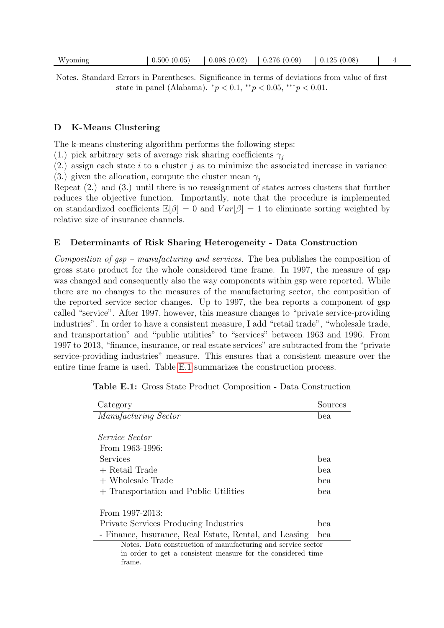Notes. Standard Errors in Parentheses. Significance in terms of deviations from value of first state in panel (Alabama).  ${}^*p < 0.1, {}^{**}p < 0.05, {}^{***}p < 0.01$ .

#### D K-Means Clustering

The k-means clustering algorithm performs the following steps:

(1.) pick arbitrary sets of average risk sharing coefficients  $\gamma_i$ 

 $(2.)$  assign each state i to a cluster j as to minimize the associated increase in variance

(3.) given the allocation, compute the cluster mean  $\gamma_i$ 

frame.

Repeat (2.) and (3.) until there is no reassignment of states across clusters that further reduces the objective function. Importantly, note that the procedure is implemented on standardized coefficients  $\mathbb{E}[\beta] = 0$  and  $Var[\beta] = 1$  to eliminate sorting weighted by relative size of insurance channels.

#### E Determinants of Risk Sharing Heterogeneity - Data Construction

Composition of gsp – manufacturing and services. The bea publishes the composition of gross state product for the whole considered time frame. In 1997, the measure of gsp was changed and consequently also the way components within gsp were reported. While there are no changes to the measures of the manufacturing sector, the composition of the reported service sector changes. Up to 1997, the bea reports a component of gsp called "service". After 1997, however, this measure changes to "private service-providing industries". In order to have a consistent measure, I add "retail trade", "wholesale trade, and transportation" and "public utilities" to "services" between 1963 and 1996. From 1997 to 2013, "finance, insurance, or real estate services" are subtracted from the "private service-providing industries" measure. This ensures that a consistent measure over the entire time frame is used. Table [E.1](#page-16-0) summarizes the construction process.

| Category                                                     | Sources |
|--------------------------------------------------------------|---------|
| Manufacturing Sector                                         | bea     |
|                                                              |         |
| <i>Service Sector</i>                                        |         |
| From 1963-1996:                                              |         |
| Services                                                     | bea     |
| + Retail Trade                                               | bea     |
| $+$ Wholesale Trade                                          | bea     |
| + Transportation and Public Utilities                        | bea     |
|                                                              |         |
| From $1997-2013$ :                                           |         |
| Private Services Producing Industries                        | bea     |
| - Finance, Insurance, Real Estate, Rental, and Leasing       | bea     |
| Notes. Data construction of manufacturing and service sector |         |
| in order to get a consistent measure for the considered time |         |

<span id="page-16-0"></span>Table E.1: Gross State Product Composition - Data Construction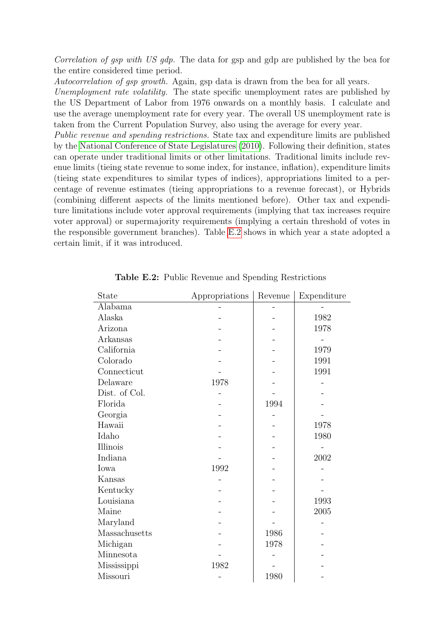Correlation of gsp with US gdp. The data for gsp and gdp are published by the bea for the entire considered time period.

Autocorrelation of gsp growth. Again, gsp data is drawn from the bea for all years.

Unemployment rate volatility. The state specific unemployment rates are published by the US Department of Labor from 1976 onwards on a monthly basis. I calculate and use the average unemployment rate for every year. The overall US unemployment rate is taken from the Current Population Survey, also using the average for every year.

Public revenue and spending restrictions. State tax and expenditure limits are published by the [National Conference of State Legislatures \(2010\)](#page-12-1). Following their definition, states can operate under traditional limits or other limitations. Traditional limits include revenue limits (tieing state revenue to some index, for instance, inflation), expenditure limits (tieing state expenditures to similar types of indices), appropriations limited to a percentage of revenue estimates (tieing appropriations to a revenue forecast), or Hybrids (combining different aspects of the limits mentioned before). Other tax and expenditure limitations include voter approval requirements (implying that tax increases require voter approval) or supermajority requirements (implying a certain threshold of votes in the responsible government branches). Table [E.2](#page-17-0) shows in which year a state adopted a certain limit, if it was introduced.

<span id="page-17-0"></span>

| State         | Appropriations | Revenue | Expenditure |
|---------------|----------------|---------|-------------|
| Alabama       |                |         |             |
| Alaska        |                |         | 1982        |
| Arizona       |                |         | 1978        |
| Arkansas      |                |         |             |
| California    |                |         | 1979        |
| Colorado      |                |         | 1991        |
| Connecticut   |                |         | 1991        |
| Delaware      | 1978           |         |             |
| Dist. of Col. |                |         |             |
| Florida       |                | 1994    |             |
| Georgia       |                |         |             |
| Hawaii        |                |         | 1978        |
| Idaho         |                |         | 1980        |
| Illinois      |                |         |             |
| Indiana       |                |         | 2002        |
| Iowa          | 1992           |         |             |
| Kansas        |                |         |             |
| Kentucky      |                |         |             |
| Louisiana     |                |         | 1993        |
| Maine         |                |         | 2005        |
| Maryland      |                |         |             |
| Massachusetts |                | 1986    |             |
| Michigan      |                | 1978    |             |
| Minnesota     |                |         |             |
| Mississippi   | 1982           |         |             |
| Missouri      |                | 1980    |             |

Table E.2: Public Revenue and Spending Restrictions